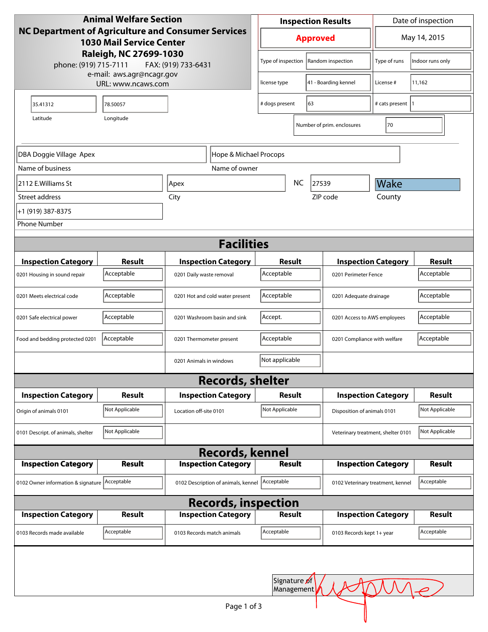| <b>Animal Welfare Section</b><br>NC Department of Agriculture and Consumer Services<br><b>1030 Mail Service Center</b>    |                |                                                |                                           | <b>Inspection Results</b> |                   |                                    | Date of inspection           |                |
|---------------------------------------------------------------------------------------------------------------------------|----------------|------------------------------------------------|-------------------------------------------|---------------------------|-------------------|------------------------------------|------------------------------|----------------|
|                                                                                                                           |                |                                                |                                           | <b>Approved</b>           |                   |                                    | May 14, 2015                 |                |
| Raleigh, NC 27699-1030<br>phone: (919) 715-7111<br>FAX: (919) 733-6431<br>e-mail: aws.agr@ncagr.gov<br>URL: www.ncaws.com |                |                                                | Type of inspection                        |                           | Random inspection | Type of runs                       | Indoor runs only             |                |
|                                                                                                                           |                |                                                | license type                              | 41 - Boarding kennel      |                   | License #                          | 11,162                       |                |
| 35.41312                                                                                                                  | 78.50057       |                                                |                                           | # dogs present<br>63      |                   | # cats present                     |                              |                |
| Latitude                                                                                                                  | Longitude      |                                                |                                           |                           |                   | Number of prim. enclosures         | 70                           |                |
| DBA Doggie Village Apex<br>Hope & Michael Procops                                                                         |                |                                                |                                           |                           |                   |                                    |                              |                |
| Name of business<br>Name of owner                                                                                         |                |                                                |                                           |                           |                   |                                    |                              |                |
| 2112 E.Williams St                                                                                                        | Apex           |                                                |                                           | NC.<br>27539              |                   |                                    | Wake                         |                |
| Street address                                                                                                            | City           |                                                |                                           | ZIP code                  |                   | County                             |                              |                |
| +1 (919) 387-8375                                                                                                         |                |                                                |                                           |                           |                   |                                    |                              |                |
| <b>Phone Number</b>                                                                                                       |                |                                                |                                           |                           |                   |                                    |                              |                |
|                                                                                                                           |                |                                                |                                           |                           |                   |                                    |                              |                |
| <b>Facilities</b>                                                                                                         |                |                                                |                                           |                           |                   |                                    |                              |                |
| <b>Inspection Category</b>                                                                                                | Result         |                                                | <b>Inspection Category</b>                | Result                    |                   |                                    | <b>Inspection Category</b>   | <b>Result</b>  |
| 0201 Housing in sound repair                                                                                              | Acceptable     | 0201 Daily waste removal                       |                                           | Acceptable                |                   | 0201 Perimeter Fence               |                              | Acceptable     |
| 0201 Meets electrical code                                                                                                | Acceptable     | 0201 Hot and cold water present                |                                           | Acceptable                |                   | 0201 Adequate drainage             |                              | Acceptable     |
| 0201 Safe electrical power                                                                                                | Acceptable     | 0201 Washroom basin and sink                   |                                           | Accept.                   |                   | 0201 Access to AWS employees       |                              | Acceptable     |
| Food and bedding protected 0201                                                                                           | Acceptable     | 0201 Thermometer present                       |                                           | Acceptable                |                   |                                    | 0201 Compliance with welfare |                |
|                                                                                                                           |                |                                                | Not applicable<br>0201 Animals in windows |                           |                   |                                    |                              |                |
|                                                                                                                           |                |                                                | <b>Records, shelter</b>                   |                           |                   |                                    |                              |                |
| <b>Inspection Category</b>                                                                                                | Result         |                                                | <b>Inspection Category</b>                | Result                    |                   | <b>Inspection Category</b>         |                              | Result         |
| Origin of animals 0101                                                                                                    | Not Applicable | Location off-site 0101                         |                                           | Not Applicable            |                   | Disposition of animals 0101        |                              | Not Applicable |
| 0101 Descript. of animals, shelter                                                                                        | Not Applicable |                                                |                                           |                           |                   | Veterinary treatment, shelter 0101 |                              | Not Applicable |
|                                                                                                                           |                |                                                | <b>Records, kennel</b>                    |                           |                   |                                    |                              |                |
| <b>Inspection Category</b>                                                                                                | <b>Result</b>  |                                                | <b>Inspection Category</b>                | <b>Result</b>             |                   | <b>Inspection Category</b>         |                              | <b>Result</b>  |
| 0102 Owner information & signature Acceptable                                                                             |                | 0102 Description of animals, kennel Acceptable |                                           |                           |                   | 0102 Veterinary treatment, kennel  |                              | Acceptable     |
|                                                                                                                           |                |                                                | <b>Records, inspection</b>                |                           |                   |                                    |                              |                |
| <b>Inspection Category</b>                                                                                                | Result         |                                                | <b>Inspection Category</b>                | Result                    |                   | <b>Inspection Category</b>         |                              | <b>Result</b>  |
| 0103 Records made available                                                                                               | Acceptable     | 0103 Records match animals                     |                                           | Acceptable                |                   | 0103 Records kept 1+ year          |                              | Acceptable     |
|                                                                                                                           |                |                                                |                                           |                           |                   |                                    |                              |                |
| Signature of<br>Management                                                                                                |                |                                                |                                           |                           |                   |                                    |                              |                |
|                                                                                                                           |                |                                                | Page 1 of 3                               |                           |                   |                                    |                              |                |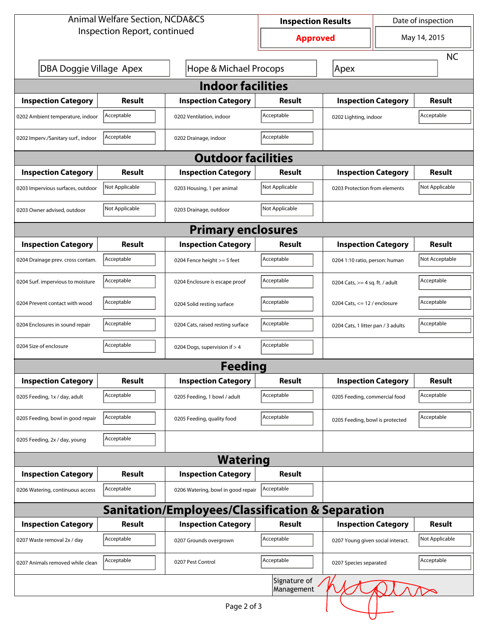| <b>Animal Welfare Section, NCDA&amp;CS</b>                           |                                 |                                    | <b>Inspection Results</b> |                                    | Date of inspection |                |  |  |
|----------------------------------------------------------------------|---------------------------------|------------------------------------|---------------------------|------------------------------------|--------------------|----------------|--|--|
| Inspection Report, continued                                         |                                 |                                    | <b>Approved</b>           |                                    | May 14, 2015       |                |  |  |
|                                                                      |                                 |                                    |                           |                                    |                    | <b>NC</b>      |  |  |
| <b>Hope &amp; Michael Procops</b><br>DBA Doggie Village Apex<br>Apex |                                 |                                    |                           |                                    |                    |                |  |  |
| <b>Indoor facilities</b>                                             |                                 |                                    |                           |                                    |                    |                |  |  |
| <b>Inspection Category</b>                                           | Result                          | <b>Inspection Category</b>         | Result                    | <b>Inspection Category</b>         |                    | Result         |  |  |
| 0202 Ambient temperature, indoor                                     | Acceptable                      | 0202 Ventilation, indoor           | Acceptable                | 0202 Lighting, indoor              |                    | Acceptable     |  |  |
| 0202 Imperv./Sanitary surf., indoor                                  | Acceptable                      | 0202 Drainage, indoor              | Acceptable                |                                    |                    |                |  |  |
| <b>Outdoor facilities</b>                                            |                                 |                                    |                           |                                    |                    |                |  |  |
| <b>Inspection Category</b>                                           | Result                          |                                    | Result                    | <b>Inspection Category</b>         |                    | Result         |  |  |
| 0203 Impervious surfaces, outdoor                                    | Not Applicable                  | 0203 Housing, 1 per animal         | Not Applicable            | 0203 Protection from elements      |                    | Not Applicable |  |  |
| 0203 Owner advised, outdoor                                          | Not Applicable                  | 0203 Drainage, outdoor             | Not Applicable            |                                    |                    |                |  |  |
| <b>Primary enclosures</b>                                            |                                 |                                    |                           |                                    |                    |                |  |  |
| <b>Inspection Category</b>                                           | Result                          | <b>Inspection Category</b>         | Result                    | <b>Inspection Category</b>         |                    | Result         |  |  |
| 0204 Drainage prev. cross contam.                                    | Acceptable                      | 0204 Fence height >= 5 feet        | Acceptable                | 0204 1:10 ratio, person: human     |                    | Not Acceptable |  |  |
| 0204 Surf. impervious to moisture                                    | Acceptable                      | 0204 Enclosure is escape proof     | Acceptable                | 0204 Cats, $>=$ 4 sq. ft. / adult  |                    | Acceptable     |  |  |
| 0204 Prevent contact with wood                                       | Acceptable                      | 0204 Solid resting surface         | Acceptable                | 0204 Cats, <= 12 / enclosure       |                    | Acceptable     |  |  |
| 0204 Enclosures in sound repair                                      | Acceptable                      | 0204 Cats, raised resting surface  | Acceptable                | 0204 Cats, 1 litter pan / 3 adults |                    | Acceptable     |  |  |
| 0204 Size of enclosure                                               | Acceptable                      | 0204 Dogs, supervision if > 4      | Acceptable                |                                    |                    |                |  |  |
|                                                                      |                                 | <b>Feeding</b>                     |                           |                                    |                    |                |  |  |
| <b>Inspection Category</b>                                           | Result                          | <b>Inspection Category</b>         | Result                    | <b>Inspection Category</b>         |                    | <b>Result</b>  |  |  |
| 0205 Feeding, 1x / day, adult                                        | Acceptable                      | 0205 Feeding, 1 bowl / adult       | Acceptable                | 0205 Feeding, commercial food      |                    | Acceptable     |  |  |
| 0205 Feeding, bowl in good repair                                    | Acceptable                      | 0205 Feeding, quality food         | Acceptable                | 0205 Feeding, bowl is protected    |                    | Acceptable     |  |  |
| 0205 Feeding, 2x / day, young                                        | Acceptable                      |                                    |                           |                                    |                    |                |  |  |
|                                                                      |                                 | <b>Watering</b>                    |                           |                                    |                    |                |  |  |
| <b>Inspection Category</b>                                           | <b>Result</b>                   | <b>Inspection Category</b>         | Result                    |                                    |                    |                |  |  |
| 0206 Watering, continuous access                                     | Acceptable                      | 0206 Watering, bowl in good repair | Acceptable                |                                    |                    |                |  |  |
| <b>Sanitation/Employees/Classification &amp; Separation</b>          |                                 |                                    |                           |                                    |                    |                |  |  |
| <b>Inspection Category</b>                                           | Result                          | <b>Inspection Category</b>         | Result                    | <b>Inspection Category</b>         |                    | Result         |  |  |
| 0207 Waste removal 2x / day                                          | Acceptable                      | 0207 Grounds overgrown             | Acceptable                | 0207 Young given social interact.  |                    | Not Applicable |  |  |
| 0207 Animals removed while clean                                     | Acceptable<br>0207 Pest Control |                                    | Acceptable                | 0207 Species separated             |                    | Acceptable     |  |  |
| Signature of<br>Management                                           |                                 |                                    |                           |                                    |                    |                |  |  |
|                                                                      |                                 | Page 2 of 3                        |                           |                                    |                    |                |  |  |